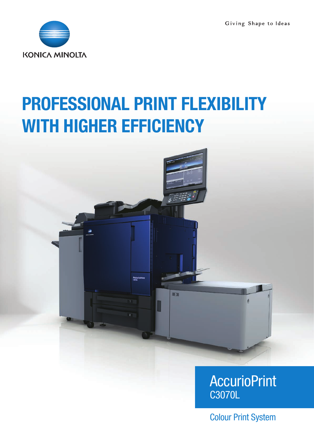Giving Shape to Ideas



# PROFESSIONAL PRINT FLEXIBILITY WITH HIGHER EFFICIENCY



### **AccurioPrint** C3070L

Colour Print System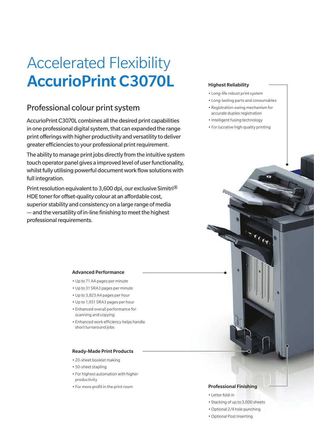## Accelerated Flexibility AccurioPrint C3070L

### Professional colour print system

AccurioPrint C3070L combines all the desired print capabilities in one professional digital system, that can expanded the range print offerings with higher productivity and versatility to deliver greater efficiencies to your professional print requirement.

The ability to manage print jobs directly from the intuitive system touch operator panel gives a improved level of user functionality, whilst fully utilising powerful document work flow solutions with full integration.

Print resolution equivalent to 3,600 dpi, our exclusive Simitri® HDE toner for offset-quality colour at an affordable cost, superior stability and consistency on a large range of media — and the versatility of in-line finishing to meet the highest professional requirements.

#### Highest Reliability

- Long-life robust print system
- Long-lasting parts and consumables
- Registration-swing mechanism for accurate duplex registration
- Intelligent fusing technology
- For lucrative high quality printing

**Tree** 

#### Advanced Performance

- Up to 71 A4 pages per minute
- Up to 31 SRA3 pages per minute
- Up to 3,823 A4 pages per hour
- Up to 1,951 SRA3 pages per hour
- Enhanced overall performance for scanning and copying
- Enhanced work efficiency helps handle short turnaround jobs

#### Ready-Made Print Products

- 20-sheet booklet making
- 50-sheet stapling
- For highest automation with higher productivity
- For more profit in the print room

#### Professional Finishing

- Letter fold-in
- Stacking of up to 3,000 sheets
- •Optional 2/4 hole punching
- •Optional Post Inserting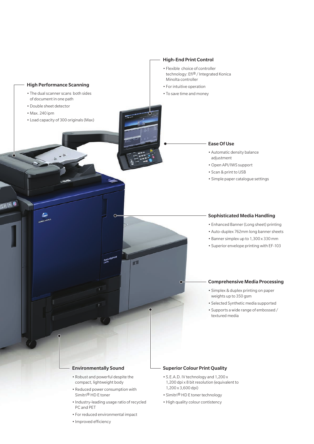

#### Environmentally Sound

- Robust and powerful despite the compact, lightweight body
- Reduced power consumption with Simitri® HD E toner
- Industry-leading usage ratio of recycled PC and PET
- For reduced environmental impact
- Improved efficiency

#### Superior Colour Print Quality

- S.E.A.D. IV technology and 1,200 x 1,200 dpi x 8 bit resolution (equivalent to 1,200 x 3,600 dpi)
- Simitri® HD E toner technology
- •High quality colour contistency